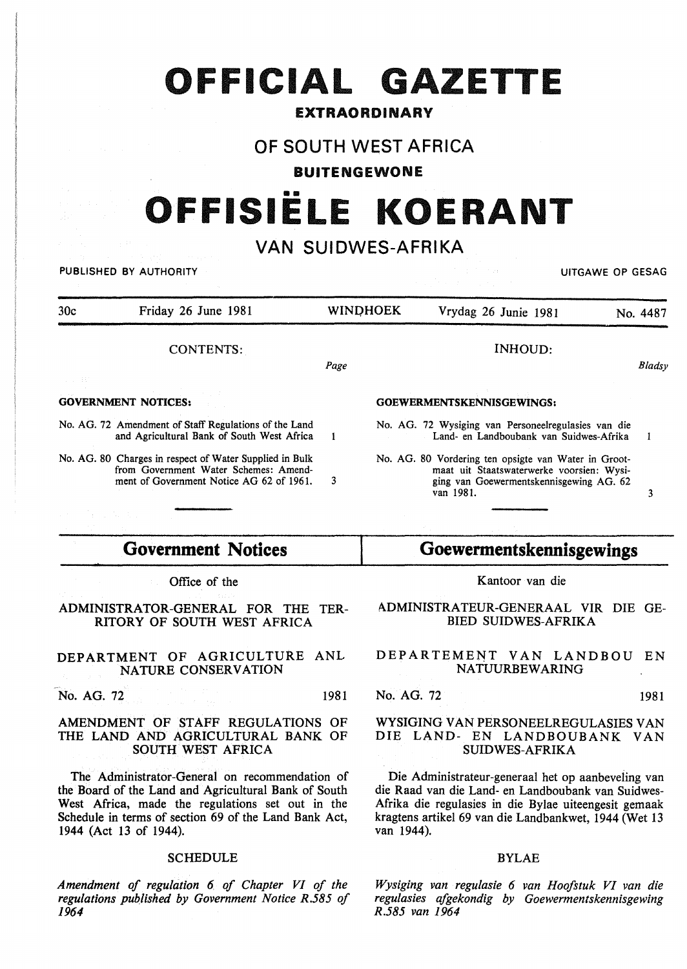# **OFFICIAL GAZETTE**

## EXTRAORDINARY

# OF SOUTH WEST AFRICA

### BUITENGEWONE

# •• **OFFISIELE KOERANT**

# VAN SUIDWES-AFRIKA

PUBLISHED BY AUTHORITY UNDER THE SERVICE OF GESAGE OF GESAGE AND LOTE OF GESAGE OF GESAGE AND LOTE OF GESAGE OF GESAGE AND LOTE OF GESAGE AND LOTE OF GESAGE AND LOTE OF GESAGE AND LOTE OF GESAGE AND LOTE OF GESAGE AND LOTE

| 30c                        | Friday 26 June 1981                                                                                                                          |                                  | <b>WINDHOEK</b> | Vrydag 26 Junie 1981                                                                                                                                      | No. 4487 |
|----------------------------|----------------------------------------------------------------------------------------------------------------------------------------------|----------------------------------|-----------------|-----------------------------------------------------------------------------------------------------------------------------------------------------------|----------|
|                            | CONTENTS:                                                                                                                                    |                                  |                 | INHOUD:                                                                                                                                                   |          |
|                            |                                                                                                                                              | Page                             |                 |                                                                                                                                                           | Bladsy   |
| <b>GOVERNMENT NOTICES:</b> |                                                                                                                                              | <b>GOEWERMENTSKENNISGEWINGS:</b> |                 |                                                                                                                                                           |          |
|                            | No. AG. 72 Amendment of Staff Regulations of the Land<br>and Agricultural Bank of South West Africa                                          |                                  |                 | No. AG. 72 Wysiging van Personeelregulasies van die<br>Land- en Landboubank van Suidwes-Afrika                                                            |          |
|                            | No. AG. 80 Charges in respect of Water Supplied in Bulk<br>from Government Water Schemes: Amend-<br>ment of Government Notice AG 62 of 1961. | 3                                |                 | No. AG. 80 Vordering ten opsigte van Water in Groot-<br>maat uit Staatswaterwerke voorsien: Wysi-<br>ging van Goewermentskennisgewing AG. 62<br>van 1981. |          |

# **Government Notices**

Office of the

ADMINISTRATOR-GENERAL FOR THE TER-RITORY OF SOUTH WEST AFRICA

### DEPARTMENT OF AGRICULTURE ANL NATURE CONSERVATION

No. AG. 72 1981

#### AMENDMENT OF STAFF REGULATIONS OF THE LAND AND AGRICULTURAL BANK OF SOUTH WEST AFRICA

The Administrator-General on recommendation of the Board of the Land and Agricultural Bank of South West Africa, made the regulations set out in the Schedule in terms of section 69 of the Land Bank Act, 1944 (Act 13 of 1944).

#### SCHEDULE

*Amendment of regulation 6 of Chapter VI of the*  regulations published by Government Notice R.585 of *1964* 

Kantoor van die

**Goewermentskennisgewings** 

ADMINISTRATEUR-GENERAAL VIR DIE GE-BIED SUIDWES-AFRIKA

DEPARTEMENT VAN LANDBOU EN NATUURBEWARING

No. AG. 72 1981

#### WYSIGING VAN PERSONEELREGULASIES VAN DIE LAND- EN LANDBOUBANK VAN SUIDWES-AFRIKA

Die Administrateur-generaal het op aanbeveling van die Raad van die Land- en Landboubank van Suidwes-Afrika die regulasies in die Bylae uiteengesit gemaak kragtens artikel 69 van die Landbankwet, 1944 (Wet 13 van 1944).

#### BYLAE

*Wysiging van regulasie 6 van Hoofstuk VI van die regulasies afgekondig by Goewermentskennisgewing R.585 van 1964*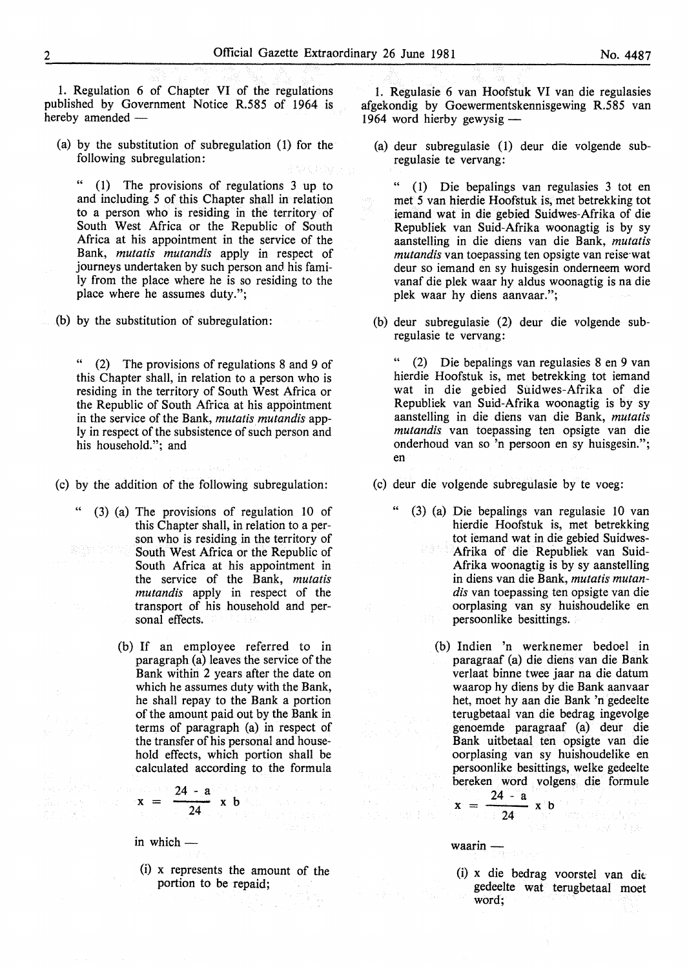1. Regulation 6 of Chapter VI of the regulations published by Government Notice R.585 of 1964 is hereby amended -

(a) by the substitution of subregulation (1) for the following subregulation:

" (1) The provisions of regulations 3 up to and including 5 of this Chapter shall in relation to a person who is residing in the territory of South West Africa or the Republic of South Africa at his appointment in the service of the Bank, *mutatis mutandis* apply in respect of journeys undertaken by such person and his family from the place where he is so residing to the place where he assumes duty.";

(b) by the substitution of subregulation:

" (2) The provisions of regulations 8 and 9 of this Chapter shall, in relation to a person who is residing in the territory of South West Africa or the Republic of South Africa at his appointment in the service of the Bank, *mutatis mutandis* apply in respect of the subsistence of such person and his household."; and

(c) by the addition of the following subregulation:

- " (3) (a) The provisions of regulation 10 of this Chapter shall, in relation to a person who is residing in the territory of South West Africa or the Republic of South Africa at his appointment in the service of the Bank, *mutatis mutandis* apply in respect of the transport of his household and personal effects.
	- (b) If an employee referred to in paragraph (a) leaves the service of the Bank within 2 years after the date on which he assumes duty with the Bank, he shall repay to the Bank a portion of the amount paid out by the Bank in terms of paragraph (a) in respect of the transfer of his personal and household effects, which portion shall be calculated according to the formula

 $x = \frac{24 - a}{24}$  $\frac{1}{24}$  x b

in which -

(i) x represents the amount of the portion to be repaid;

1. Regulasie 6 van Hoofstuk VI van die regulasies afgekondig by Goewermentskennisgewing R.585 van 1964 word hierby gewysig  $-$ 

(a) deur subregulasie ( 1) deur die volgende subregulasie te vervang:

" ( 1) Die bepalings van regulasies 3 tot en met 5 van hierdie Hoofstuk is, met betrekking tot iemand wat in die gebied Suidwes-Afrika of die Republiek van Suid-Afrika woonagtig is by sy aanstelling in die diens van die Bank, *mutatis mutandis* van toepassing ten opsigte van reise·wat deur so iemand en sy huisgesin onderneem word vanaf die plek waar hy aldus woonagtig is na die plek waar hy diens aanvaar.";

(b) deur subregulasie (2) deur die volgende subregulasie te vervang:

" (2) Die bepalings van regulasies 8 en 9 van hierdie Hoofstuk is, met betrekking tot iemand wat in die gebied Suidwes-Afrika of die Republiek van Suid-Afrika woonagtig is by sy aanstelling in die diens van die Bank, *mutatis mutandis* van toepassing ten opsigte van die onderhoud van so 'n persoon en sy huisgesin."; en

(c) deur die volgende subregulasie by te voeg:

- " (3) (a) Die bepalings van regulasie 10 van hierdie Hoofstuk is, met betrekking tot iemand wat in die gebied Suidwes-Afrika of die Republiek van Suid-Afrika woonagtig is by sy aanstelling in diens van die Bank, *mutatis mutandis* van toepassing ten opsigte van die oorplasing van sy huishoudelike en persoonlike besittings.
	- (b) Indien 'n werknemer bedoel in paragraaf (a) die diens van die Bank verlaat binne twee jaar na die datum waarop hy diens by die Bank aanvaar het, moet hy aan die Bank 'n gedeelte terugbetaal van die bedrag ingevolge genoemde paragraaf (a) deur die Bank uitbetaal ten opsigte van die oorplasing van sy huishoudelike en persoonlike besittings, welke gedeelte bereken word volgens. die formule

waarin —

 $x = \frac{24 - a}{24} x b$ 

(i) x die bedrag voorstel van die gedeelte wat terugbetaal moet word;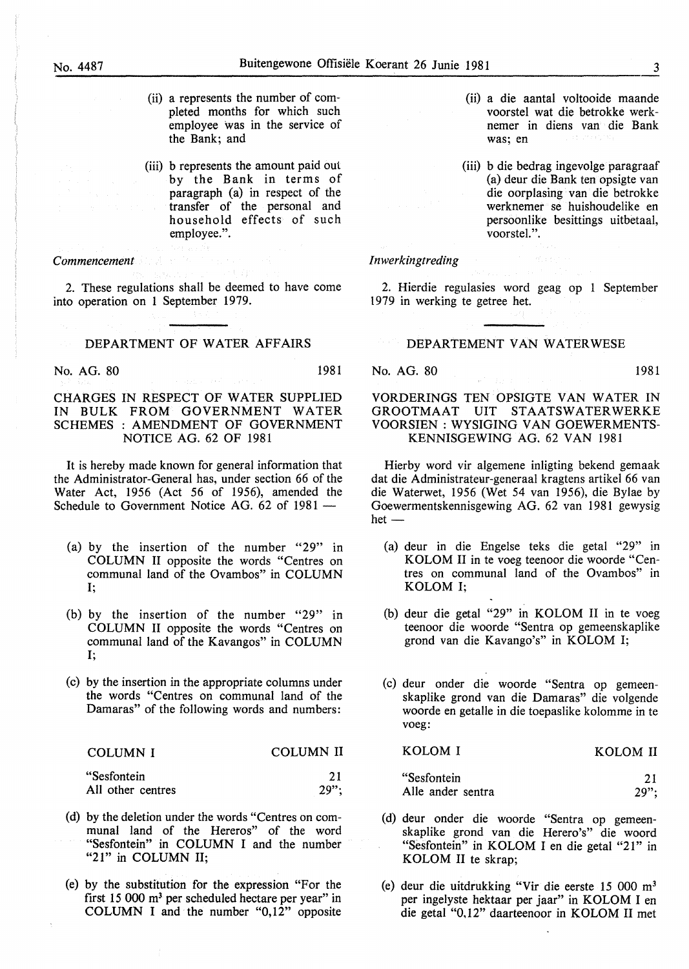- (ii) a represents the number of completed months for which such employee was in the service of the Bank; and
- (iii) b represents the amount paid out by the Bank in terms of paragraph (a) in respect of the transfer of the personal and household effects of such employee.".

*Commencement* 

2. These regulations shall be deemed to have come into operation on 1 September 1979.

ra wa 29

#### DEPARTMENT OF WATER AFFAIRS

No. AG. 80 1981

#### CHARGES IN RESPECT OF WATER SUPPLIED IN BULK FROM GOVERNMENT WATER SCHEMES : AMENDMENT OF GOVERNMENT NOTICE AG. 62 OF 1981

It is hereby made known for general information that the Administrator-General has, under section 66 of the Water Act, 1956 (Act 56 of 1956), amended the Schedule to Government Notice AG. 62 of 1981 -

- (a) by the insertion of the number "29" in COLUMN II opposite the words "Centres on communal land of the Ovambos" in COLUMN I;
- (b) by the insertion of the number "29" in COLUMN II opposite the words "Centres on communal land of the Kavangos" in COLUMN I;
- (c) by the insertion in the appropriate columns under the words "Centres on communal land of the Damaras" of the following words and numbers:

| COLUMN I | COLUMN II |  |
|----------|-----------|--|
|----------|-----------|--|

| "Sesfontein       |         |
|-------------------|---------|
| All other centres | $29$ "; |

- (d) by the deletion under the words "Centres on communal land of the Hereros" of the word "Sesfontein" in COLUMN I and the number "21" in COLUMN II;
- (e) by the substitution for the expression "For the first 15 000 m3 per scheduled hectare per year" in COLUMN I and the number "0,12" opposite
- (ii) a die aantal voltooide maande voorstel wat die betrokke werknemer in diens van die Bank was; en
- (iii) b die bedrag ingevolge paragraaf (a) deur die Bank ten opsigte van die oorplasing van die betrokke werknemer se huishoudelike en persoonlike besittings uitbetaal, voorstel.".

#### *Inwerkingtreding*

2. Hierdie regulasies word geag op 1 September 1979 in werking te getree het.

#### DEPARTEMENT VAN WATERWESE

No. AG. 80 1981

#### VORDERINGS TEN OPSIGTE VAN WATER IN GROOTMAAT UIT STAATSWATERWERKE VOORSIEN : WYSIGING VAN GOEWERMENTS-KENNISGEWING AG. 62 VAN 1981

Hierby word vir algemene inligting bekend gemaak dat die Administrateur-generaal kragtens artikel 66 van die Waterwet, 1956 (Wet 54 van 1956), die Bylae by Goewermentskennisgewing AG. 62 van 1981 gewysig  $het-$ 

- (a) deur in die Engelse teks die getal "29" in KOLOM II in te voeg teenoor die woorde "Centres on communal land of the Ovambos" in KOLOM I;
- (b) deur die getal "29" in KOLOM II in te voeg teenoor die woorde "Sentra op gemeenskaplike grond van die Kavango's" in KOLOM I;
- (c) deur onder die woorde "Sentra op gemeenskaplike grond van die Damaras" die volgende woorde en getalle in die toepaslike kolomme in te voeg:

KOLOM I KOLOM II

| "Sesfontein       |         |
|-------------------|---------|
| Alle ander sentra | $29$ "; |

- (d) deur onder die woorde "Sentra op gemeenskaplike grond van die Herero's" die woord "Sesfontein" in KOLOM I en die getal "21" in KOLOM II te skrap;
- (e) deur die uitdrukking "Vir die eerste 15 000 m3 per ingelyste hektaar per jaar" in KOLOM I en die getal "0,12" daarteenoor in KOLOM II met